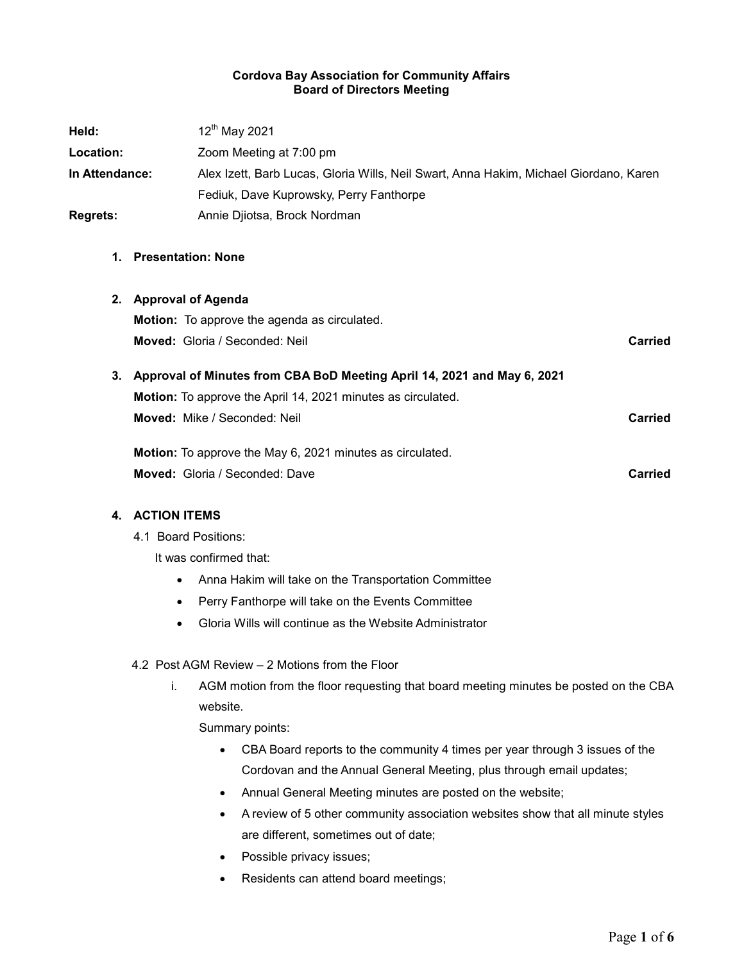#### Cordova Bay Association for Community Affairs Board of Directors Meeting

| Held:           | 12 <sup>th</sup> May 2021                                                             |         |
|-----------------|---------------------------------------------------------------------------------------|---------|
| Location:       | Zoom Meeting at 7:00 pm                                                               |         |
| In Attendance:  | Alex Izett, Barb Lucas, Gloria Wills, Neil Swart, Anna Hakim, Michael Giordano, Karen |         |
|                 | Fediuk, Dave Kuprowsky, Perry Fanthorpe                                               |         |
| <b>Regrets:</b> | Annie Djiotsa, Brock Nordman                                                          |         |
| 1.              | <b>Presentation: None</b>                                                             |         |
|                 | 2. Approval of Agenda                                                                 |         |
|                 | <b>Motion:</b> To approve the agenda as circulated.                                   |         |
|                 | Moved: Gloria / Seconded: Neil                                                        | Carried |
|                 | 3. Approval of Minutes from CBA BoD Meeting April 14, 2021 and May 6, 2021            |         |
|                 | Motion: To approve the April 14, 2021 minutes as circulated.                          |         |
|                 | <b>Moved:</b> Mike / Seconded: Neil                                                   | Carried |
|                 | Motion: To approve the May 6, 2021 minutes as circulated.                             |         |
|                 | Moved: Gloria / Seconded: Dave                                                        | Carried |

# 4. ACTION ITEMS

4.1 Board Positions:

It was confirmed that:

- Anna Hakim will take on the Transportation Committee
- Perry Fanthorpe will take on the Events Committee
- Gloria Wills will continue as the Website Administrator
- 4.2 Post AGM Review 2 Motions from the Floor
	- i. AGM motion from the floor requesting that board meeting minutes be posted on the CBA website.

Summary points:

- CBA Board reports to the community 4 times per year through 3 issues of the Cordovan and the Annual General Meeting, plus through email updates;
- Annual General Meeting minutes are posted on the website;
- A review of 5 other community association websites show that all minute styles are different, sometimes out of date;
- Possible privacy issues;
- Residents can attend board meetings;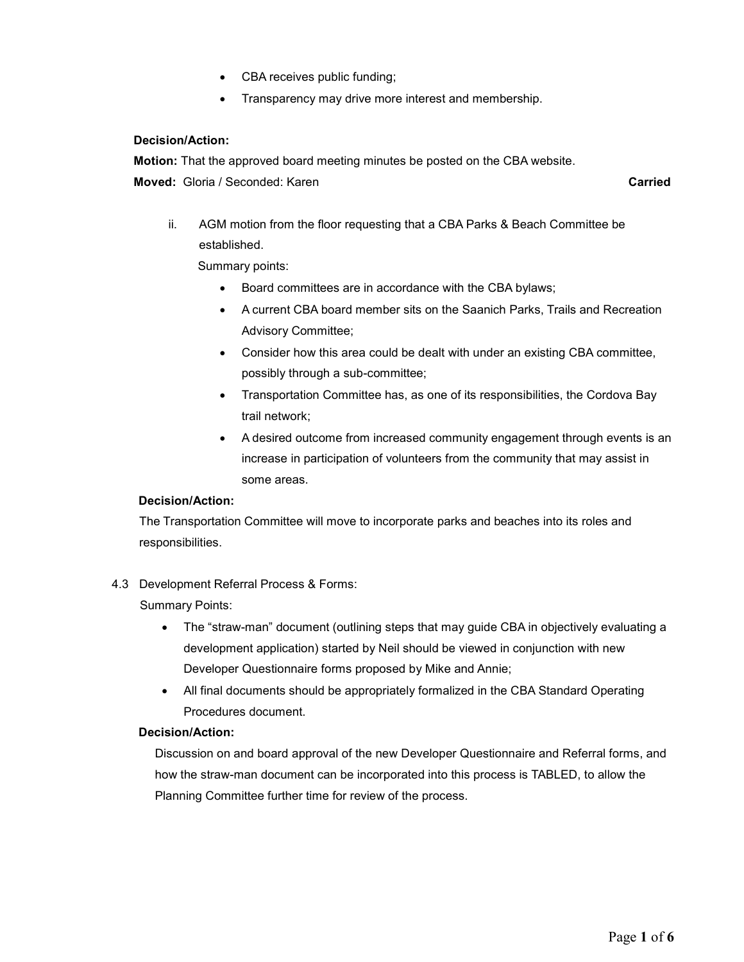- CBA receives public funding;
- Transparency may drive more interest and membership.

#### Decision/Action:

Motion: That the approved board meeting minutes be posted on the CBA website. **Moved:** Gloria / Seconded: Karen Carried Carried Carried Carried Carried Carried

ii. AGM motion from the floor requesting that a CBA Parks & Beach Committee be established.

Summary points:

- Board committees are in accordance with the CBA bylaws;
- A current CBA board member sits on the Saanich Parks, Trails and Recreation Advisory Committee;
- Consider how this area could be dealt with under an existing CBA committee, possibly through a sub-committee;
- Transportation Committee has, as one of its responsibilities, the Cordova Bay trail network;
- A desired outcome from increased community engagement through events is an increase in participation of volunteers from the community that may assist in some areas.

## Decision/Action:

The Transportation Committee will move to incorporate parks and beaches into its roles and responsibilities.

## 4.3 Development Referral Process & Forms:

Summary Points:

- The "straw-man" document (outlining steps that may guide CBA in objectively evaluating a development application) started by Neil should be viewed in conjunction with new Developer Questionnaire forms proposed by Mike and Annie;
- All final documents should be appropriately formalized in the CBA Standard Operating Procedures document.

#### Decision/Action:

Discussion on and board approval of the new Developer Questionnaire and Referral forms, and how the straw-man document can be incorporated into this process is TABLED, to allow the Planning Committee further time for review of the process.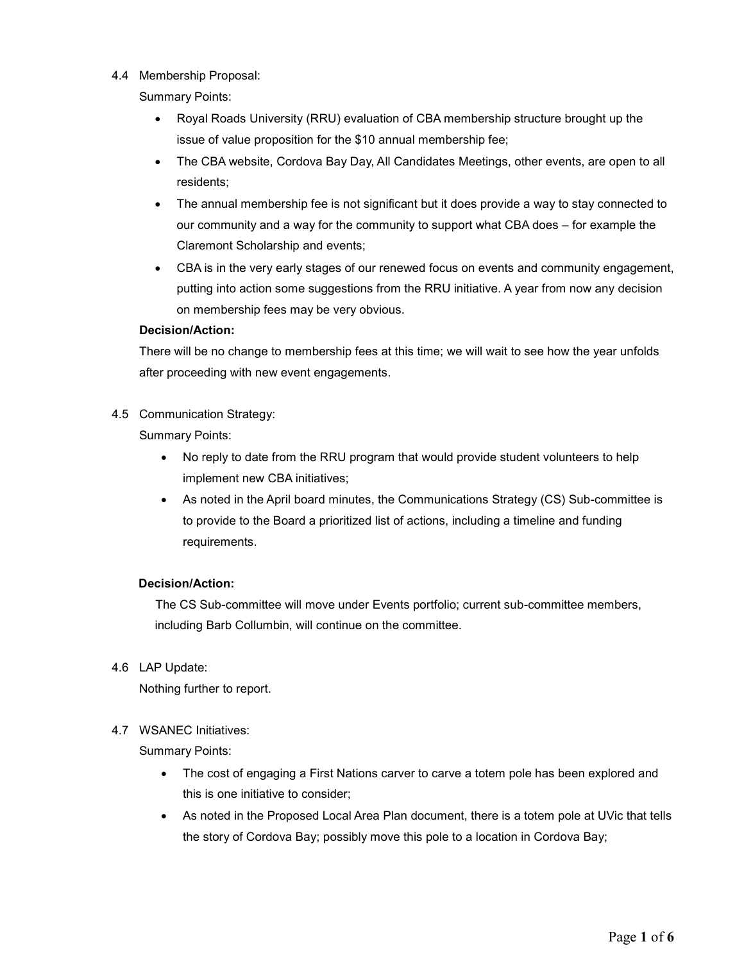4.4 Membership Proposal:

Summary Points:

- Royal Roads University (RRU) evaluation of CBA membership structure brought up the issue of value proposition for the \$10 annual membership fee;
- The CBA website, Cordova Bay Day, All Candidates Meetings, other events, are open to all residents;
- The annual membership fee is not significant but it does provide a way to stay connected to our community and a way for the community to support what CBA does – for example the Claremont Scholarship and events;
- CBA is in the very early stages of our renewed focus on events and community engagement, putting into action some suggestions from the RRU initiative. A year from now any decision on membership fees may be very obvious.

#### Decision/Action:

There will be no change to membership fees at this time; we will wait to see how the year unfolds after proceeding with new event engagements.

4.5 Communication Strategy:

Summary Points:

- No reply to date from the RRU program that would provide student volunteers to help implement new CBA initiatives;
- As noted in the April board minutes, the Communications Strategy (CS) Sub-committee is to provide to the Board a prioritized list of actions, including a timeline and funding requirements.

## Decision/Action:

The CS Sub-committee will move under Events portfolio; current sub-committee members, including Barb Collumbin, will continue on the committee.

4.6 LAP Update:

Nothing further to report.

4.7 WSANEC Initiatives:

Summary Points:

- The cost of engaging a First Nations carver to carve a totem pole has been explored and this is one initiative to consider;
- As noted in the Proposed Local Area Plan document, there is a totem pole at UVic that tells the story of Cordova Bay; possibly move this pole to a location in Cordova Bay;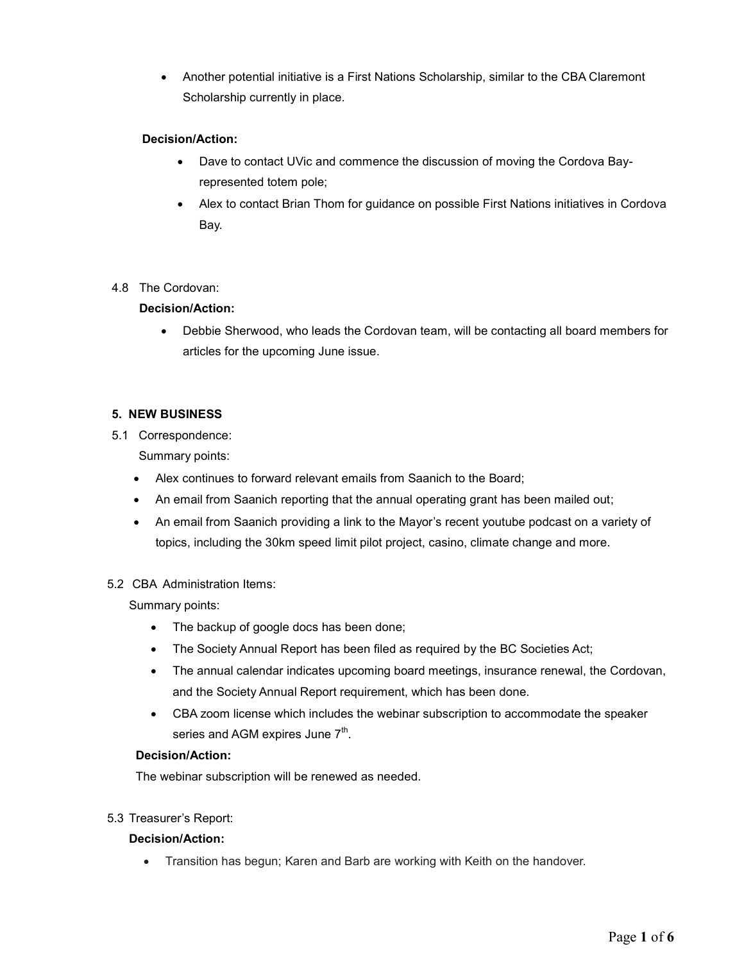Another potential initiative is a First Nations Scholarship, similar to the CBA Claremont Scholarship currently in place.

## Decision/Action:

- Dave to contact UVic and commence the discussion of moving the Cordova Bayrepresented totem pole;
- Alex to contact Brian Thom for guidance on possible First Nations initiatives in Cordova Bay.

## 4.8 The Cordovan:

## Decision/Action:

 Debbie Sherwood, who leads the Cordovan team, will be contacting all board members for articles for the upcoming June issue.

## 5. NEW BUSINESS

5.1 Correspondence:

Summary points:

- Alex continues to forward relevant emails from Saanich to the Board;
- An email from Saanich reporting that the annual operating grant has been mailed out;
- An email from Saanich providing a link to the Mayor's recent youtube podcast on a variety of topics, including the 30km speed limit pilot project, casino, climate change and more.

## 5.2 CBA Administration Items:

Summary points:

- The backup of google docs has been done;
- The Society Annual Report has been filed as required by the BC Societies Act;
- The annual calendar indicates upcoming board meetings, insurance renewal, the Cordovan, and the Society Annual Report requirement, which has been done.
- CBA zoom license which includes the webinar subscription to accommodate the speaker series and AGM expires June  $7^{\rm th}$ .

## Decision/Action:

The webinar subscription will be renewed as needed.

## 5.3 Treasurer's Report:

## Decision/Action:

Transition has begun; Karen and Barb are working with Keith on the handover.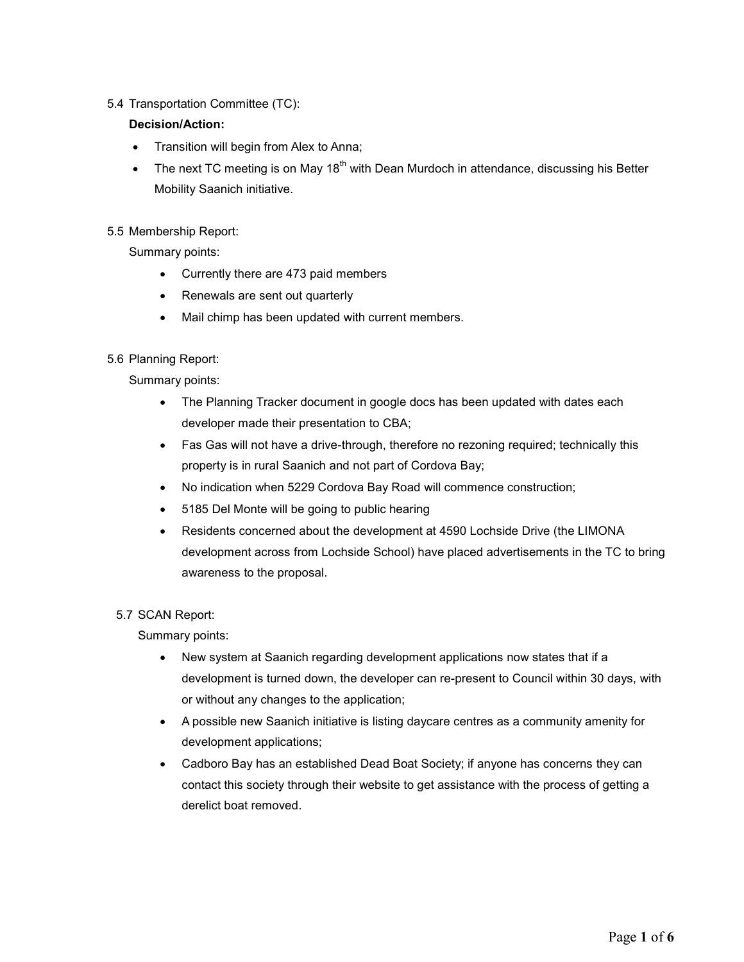# 5.4 Transportation Committee (TC):

# Decision/Action:

- Transition will begin from Alex to Anna;
- The next TC meeting is on May 18<sup>th</sup> with Dean Murdoch in attendance, discussing his Better Mobility Saanich initiative.

# 5.5 Membership Report:

Summary points:

- Currently there are 473 paid members
- Renewals are sent out quarterly
- Mail chimp has been updated with current members.

## 5.6 Planning Report:

Summary points:

- The Planning Tracker document in google docs has been updated with dates each developer made their presentation to CBA;
- Fas Gas will not have a drive-through, therefore no rezoning required; technically this property is in rural Saanich and not part of Cordova Bay;
- No indication when 5229 Cordova Bay Road will commence construction;
- 5185 Del Monte will be going to public hearing
- Residents concerned about the development at 4590 Lochside Drive (the LIMONA development across from Lochside School) have placed advertisements in the TC to bring awareness to the proposal.

## 5.7 SCAN Report:

Summary points:

- New system at Saanich regarding development applications now states that if a development is turned down, the developer can re-present to Council within 30 days, with or without any changes to the application;
- A possible new Saanich initiative is listing daycare centres as a community amenity for development applications;
- Cadboro Bay has an established Dead Boat Society; if anyone has concerns they can contact this society through their website to get assistance with the process of getting a derelict boat removed.